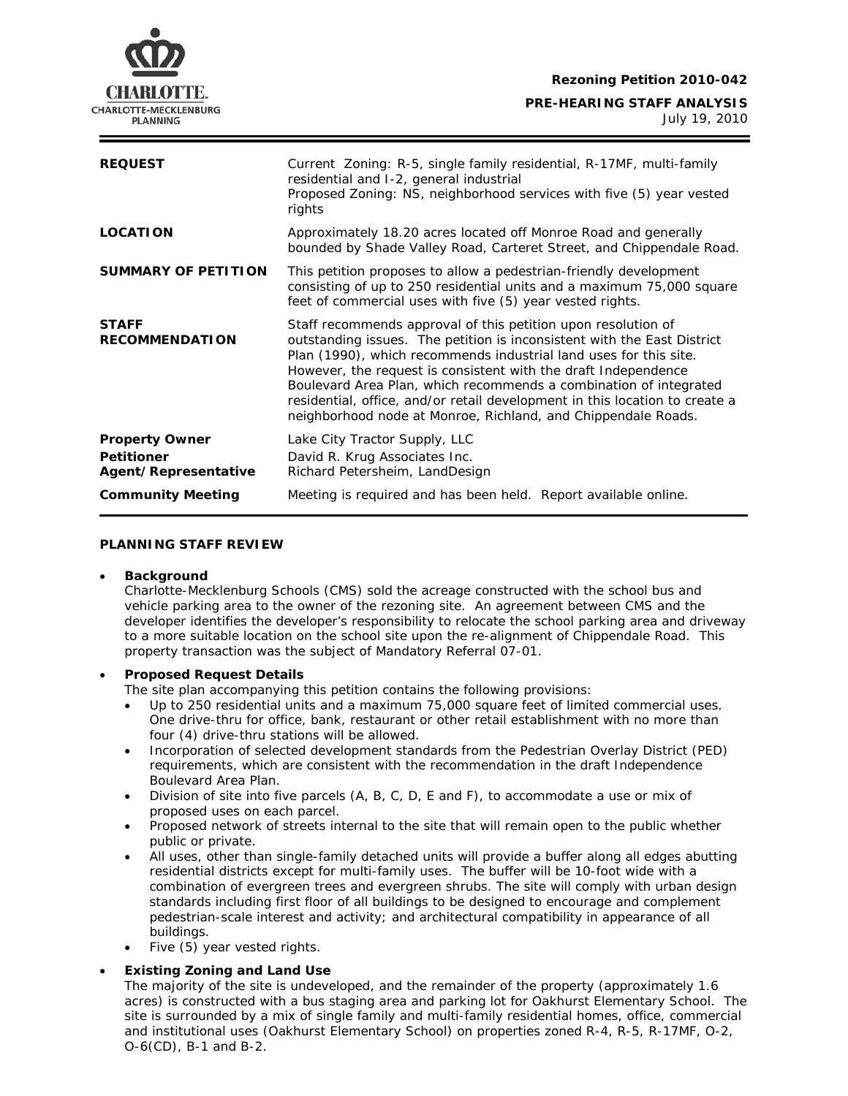

**Rezoning Petition 2010-042** 

July 19, 2010

| <b>REQUEST</b>                                                     | Current Zoning: R-5, single family residential, R-17MF, multi-family<br>residential and I-2, general industrial<br>Proposed Zoning: NS, neighborhood services with five (5) year vested<br>rights                                                                                                                                                                                                                                                                                                    |
|--------------------------------------------------------------------|------------------------------------------------------------------------------------------------------------------------------------------------------------------------------------------------------------------------------------------------------------------------------------------------------------------------------------------------------------------------------------------------------------------------------------------------------------------------------------------------------|
| <b>LOCATION</b>                                                    | Approximately 18.20 acres located off Monroe Road and generally<br>bounded by Shade Valley Road, Carteret Street, and Chippendale Road.                                                                                                                                                                                                                                                                                                                                                              |
| <b>SUMMARY OF PETITION</b>                                         | This petition proposes to allow a pedestrian-friendly development<br>consisting of up to 250 residential units and a maximum 75,000 square<br>feet of commercial uses with five (5) year vested rights.                                                                                                                                                                                                                                                                                              |
| <b>STAFF</b><br><b>RECOMMENDATION</b>                              | Staff recommends approval of this petition upon resolution of<br>outstanding issues. The petition is inconsistent with the East District<br>Plan (1990), which recommends industrial land uses for this site.<br>However, the request is consistent with the draft Independence<br>Boulevard Area Plan, which recommends a combination of integrated<br>residential, office, and/or retail development in this location to create a<br>neighborhood node at Monroe, Richland, and Chippendale Roads. |
| <b>Property Owner</b><br><b>Petitioner</b><br>Agent/Representative | Lake City Tractor Supply, LLC<br>David R. Krug Associates Inc.<br>Richard Petersheim, LandDesign                                                                                                                                                                                                                                                                                                                                                                                                     |
| <b>Community Meeting</b>                                           | Meeting is required and has been held. Report available online.                                                                                                                                                                                                                                                                                                                                                                                                                                      |

## **PLANNING STAFF REVIEW**

### • **Background**

Charlotte-Mecklenburg Schools (CMS) sold the acreage constructed with the school bus and vehicle parking area to the owner of the rezoning site. An agreement between CMS and the developer identifies the developer's responsibility to relocate the school parking area and driveway to a more suitable location on the school site upon the re-alignment of Chippendale Road. This property transaction was the subject of Mandatory Referral 07-01.

# • **Proposed Request Details**

The site plan accompanying this petition contains the following provisions:

- Up to 250 residential units and a maximum 75,000 square feet of limited commercial uses. One drive-thru for office, bank, restaurant or other retail establishment with no more than four (4) drive-thru stations will be allowed.
- Incorporation of selected development standards from the Pedestrian Overlay District (PED) requirements, which are consistent with the recommendation in the draft *Independence Boulevard Area Plan.*
- Division of site into five parcels (A, B, C, D, E and F), to accommodate a use or mix of proposed uses on each parcel.
- Proposed network of streets internal to the site that will remain open to the public whether public or private.
- All uses, other than single-family detached units will provide a buffer along all edges abutting residential districts except for multi-family uses. The buffer will be 10-foot wide with a combination of evergreen trees and evergreen shrubs. The site will comply with urban design standards including first floor of all buildings to be designed to encourage and complement pedestrian-scale interest and activity; and architectural compatibility in appearance of all buildings.
- Five (5) year vested rights.

# • **Existing Zoning and Land Use**

The majority of the site is undeveloped, and the remainder of the property (approximately 1.6 acres) is constructed with a bus staging area and parking lot for Oakhurst Elementary School. The site is surrounded by a mix of single family and multi-family residential homes, office, commercial and institutional uses (Oakhurst Elementary School) on properties zoned R-4, R-5, R-17MF, O-2, O-6(CD), B-1 and B-2.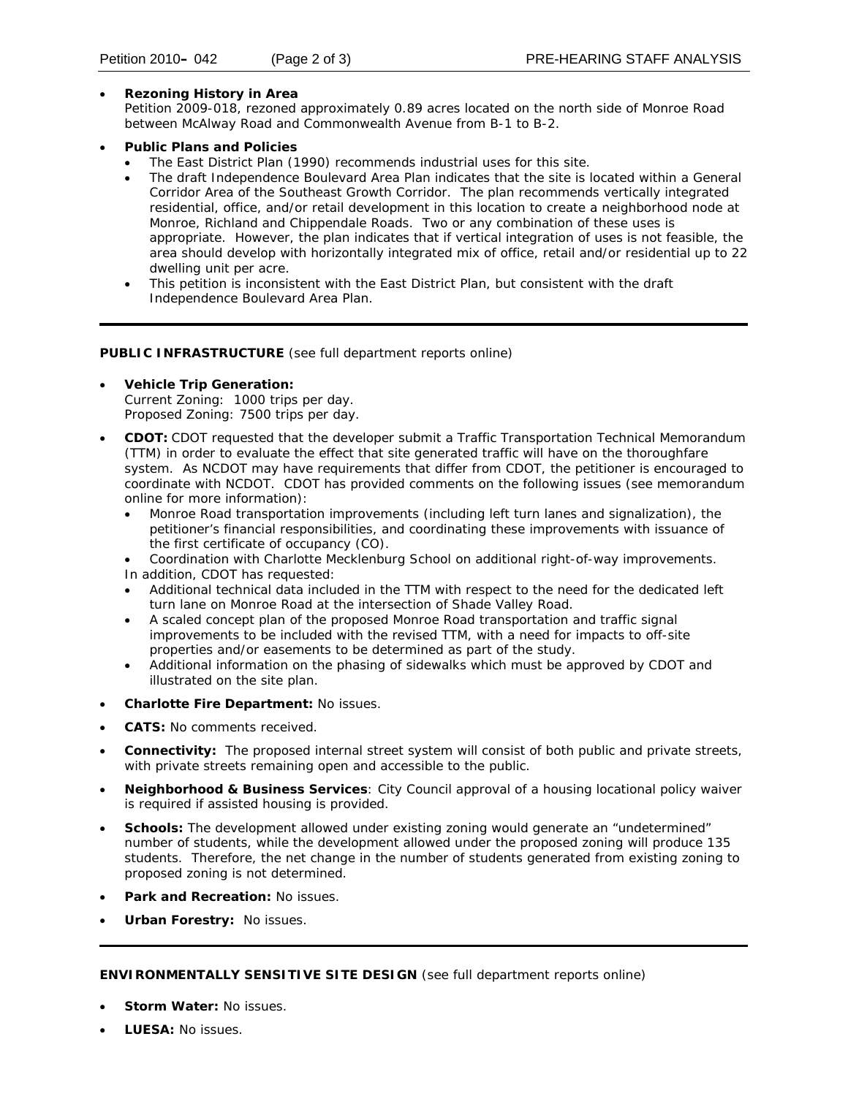### • **Rezoning History in Area**

Petition 2009-018, rezoned approximately 0.89 acres located on the north side of Monroe Road between McAlway Road and Commonwealth Avenue from B-1 to B-2.

- **Public Plans and Policies**
	- The *East District Plan* (1990) recommends industrial uses for this site.
	- The draft *Independence Boulevard Area Plan* indicates that the site is located within a General Corridor Area of the Southeast Growth Corridor. The plan recommends vertically integrated residential, office, and/or retail development in this location to create a neighborhood node at Monroe, Richland and Chippendale Roads. Two or any combination of these uses is appropriate. However, the plan indicates that if vertical integration of uses is not feasible, the area should develop with horizontally integrated mix of office, retail and/or residential up to 22 dwelling unit per acre.
	- This petition is inconsistent with the *East District Plan*, but consistent with the draft *Independence Boulevard Area Plan*.

**PUBLIC INFRASTRUCTURE** (see full department reports online)

- **Vehicle Trip Generation:**  Current Zoning: 1000 trips per day. Proposed Zoning: 7500 trips per day.
- **CDOT:** CDOT requested that the developer submit a Traffic Transportation Technical Memorandum (TTM) in order to evaluate the effect that site generated traffic will have on the thoroughfare system. As NCDOT may have requirements that differ from CDOT, the petitioner is encouraged to coordinate with NCDOT. CDOT has provided comments on the following issues (see memorandum online for more information):
	- Monroe Road transportation improvements (including left turn lanes and signalization), the petitioner's financial responsibilities, and coordinating these improvements with issuance of the first certificate of occupancy (CO).
	- Coordination with Charlotte Mecklenburg School on additional right-of-way improvements. In addition, CDOT has requested:
	- Additional technical data included in the TTM with respect to the need for the dedicated left turn lane on Monroe Road at the intersection of Shade Valley Road.
	- A scaled concept plan of the proposed Monroe Road transportation and traffic signal improvements to be included with the revised TTM, with a need for impacts to off-site properties and/or easements to be determined as part of the study.
	- Additional information on the phasing of sidewalks which must be approved by CDOT and illustrated on the site plan.
- **Charlotte Fire Department:** No issues.
- **CATS:** No comments received.
- **Connectivity:** The proposed internal street system will consist of both public and private streets, with private streets remaining open and accessible to the public.
- **Neighborhood & Business Services**: City Council approval of a housing locational policy waiver is required if assisted housing is provided.
- **Schools:** The development allowed under existing zoning would generate an "undetermined" number of students, while the development allowed under the proposed zoning will produce 135 students. Therefore, the net change in the number of students generated from existing zoning to proposed zoning is not determined.
- **Park and Recreation:** No issues.
- **Urban Forestry:** No issues.

**ENVIRONMENTALLY SENSITIVE SITE DESIGN** (see full department reports online)

- **Storm Water:** No issues.
- **LUESA:** No issues.